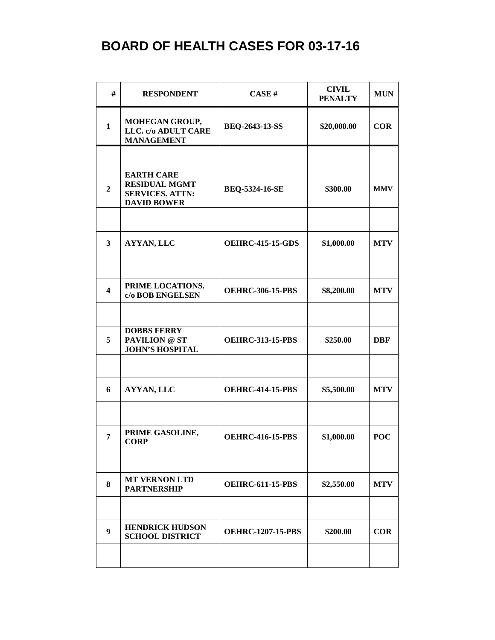| #                       | <b>RESPONDENT</b>                                                                         | CASE#                    | <b>CIVIL</b><br><b>PENALTY</b> | <b>MUN</b> |
|-------------------------|-------------------------------------------------------------------------------------------|--------------------------|--------------------------------|------------|
| $\mathbf{1}$            | MOHEGAN GROUP,<br>LLC. c/o ADULT CARE<br><b>MANAGEMENT</b>                                | <b>BEQ-2643-13-SS</b>    | \$20,000.00                    | <b>COR</b> |
|                         |                                                                                           |                          |                                |            |
| $\boldsymbol{2}$        | <b>EARTH CARE</b><br><b>RESIDUAL MGMT</b><br><b>SERVICES. ATTN:</b><br><b>DAVID BOWER</b> | BEQ-5324-16-SE           | \$300.00                       | <b>MMV</b> |
|                         |                                                                                           |                          |                                |            |
| $\mathbf{3}$            | AYYAN, LLC                                                                                | <b>OEHRC-415-15-GDS</b>  | \$1,000.00                     | <b>MTV</b> |
|                         |                                                                                           |                          |                                |            |
| $\overline{\mathbf{4}}$ | PRIME LOCATIONS.<br>c/o BOB ENGELSEN                                                      | <b>OEHRC-306-15-PBS</b>  | \$8,200.00                     | <b>MTV</b> |
|                         |                                                                                           |                          |                                |            |
| 5                       | <b>DOBBS FERRY</b><br><b>PAVILION @ ST</b><br><b>JOHN'S HOSPITAL</b>                      | <b>OEHRC-313-15-PBS</b>  | \$250.00                       | <b>DBF</b> |
|                         |                                                                                           |                          |                                |            |
| 6                       | AYYAN, LLC                                                                                | <b>OEHRC-414-15-PBS</b>  | \$5,500.00                     | <b>MTV</b> |
|                         |                                                                                           |                          |                                |            |
| $\overline{7}$          | PRIME GASOLINE,<br><b>CORP</b>                                                            | <b>OEHRC-416-15-PBS</b>  | \$1,000.00                     | <b>POC</b> |
|                         |                                                                                           |                          |                                |            |
| 8                       | <b>MT VERNON LTD</b><br><b>PARTNERSHIP</b>                                                | <b>OEHRC-611-15-PBS</b>  | \$2,550.00                     | <b>MTV</b> |
|                         |                                                                                           |                          |                                |            |
| $\boldsymbol{9}$        | <b>HENDRICK HUDSON</b><br><b>SCHOOL DISTRICT</b>                                          | <b>OEHRC-1207-15-PBS</b> | \$200.00                       | <b>COR</b> |
|                         |                                                                                           |                          |                                |            |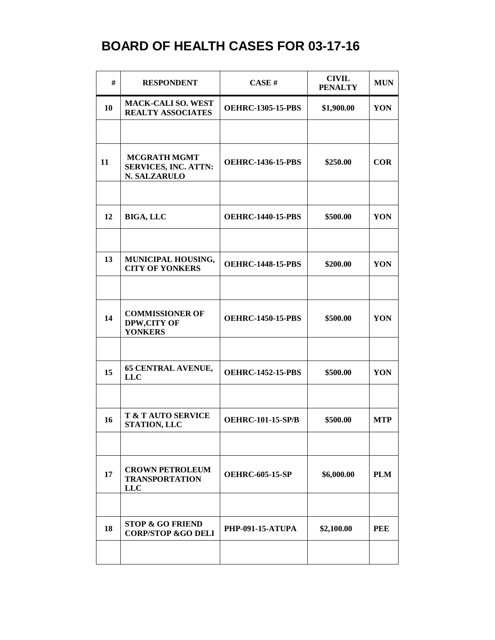| #  | <b>RESPONDENT</b>                                                  | <b>CASE#</b>             | <b>CIVIL</b><br><b>PENALTY</b> | <b>MUN</b> |
|----|--------------------------------------------------------------------|--------------------------|--------------------------------|------------|
| 10 | <b>MACK-CALI SO. WEST</b><br><b>REALTY ASSOCIATES</b>              | <b>OEHRC-1305-15-PBS</b> | \$1,900.00                     | YON        |
|    |                                                                    |                          |                                |            |
| 11 | <b>MCGRATH MGMT</b><br><b>SERVICES, INC. ATTN:</b><br>N. SALZARULO | <b>OEHRC-1436-15-PBS</b> | \$250.00                       | <b>COR</b> |
|    |                                                                    |                          |                                |            |
| 12 | <b>BIGA, LLC</b>                                                   | <b>OEHRC-1440-15-PBS</b> | \$500.00                       | YON        |
|    |                                                                    |                          |                                |            |
| 13 | MUNICIPAL HOUSING,<br><b>CITY OF YONKERS</b>                       | <b>OEHRC-1448-15-PBS</b> | \$200.00                       | YON        |
|    |                                                                    |                          |                                |            |
| 14 | <b>COMMISSIONER OF</b><br>DPW,CITY OF<br><b>YONKERS</b>            | <b>OEHRC-1450-15-PBS</b> | \$500.00                       | YON        |
|    |                                                                    |                          |                                |            |
| 15 | <b>65 CENTRAL AVENUE,</b><br><b>LLC</b>                            | <b>OEHRC-1452-15-PBS</b> | \$500.00                       | YON        |
|    |                                                                    |                          |                                |            |
| 16 | <b>T &amp; T AUTO SERVICE</b><br><b>STATION, LLC</b>               | <b>OEHRC-101-15-SP/B</b> | \$500.00                       | <b>MTP</b> |
|    |                                                                    |                          |                                |            |
| 17 | <b>CROWN PETROLEUM</b><br><b>TRANSPORTATION</b><br><b>LLC</b>      | <b>OEHRC-605-15-SP</b>   | \$6,000.00                     | <b>PLM</b> |
|    |                                                                    |                          |                                |            |
| 18 | <b>STOP &amp; GO FRIEND</b><br><b>CORP/STOP &amp;GO DELI</b>       | <b>PHP-091-15-ATUPA</b>  | \$2,100.00                     | PEE        |
|    |                                                                    |                          |                                |            |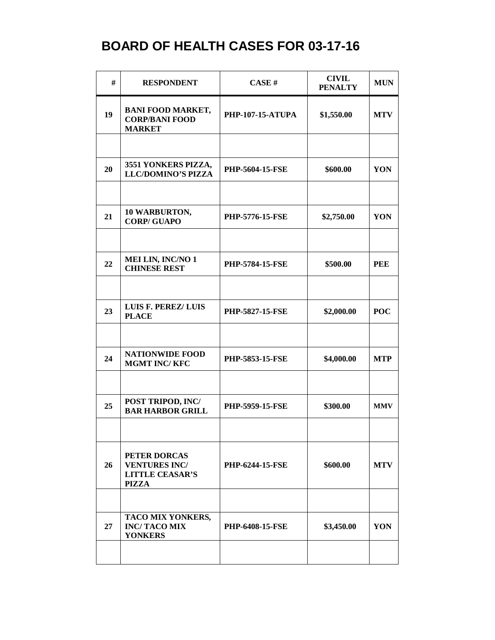| #  | <b>RESPONDENT</b>                                                              | CASE#                   | <b>CIVIL</b><br><b>PENALTY</b> | <b>MUN</b> |
|----|--------------------------------------------------------------------------------|-------------------------|--------------------------------|------------|
| 19 | <b>BANI FOOD MARKET,</b><br><b>CORP/BANI FOOD</b><br><b>MARKET</b>             | <b>PHP-107-15-ATUPA</b> | \$1,550.00                     | <b>MTV</b> |
|    |                                                                                |                         |                                |            |
| 20 | 3551 YONKERS PIZZA,<br><b>LLC/DOMINO'S PIZZA</b>                               | <b>PHP-5604-15-FSE</b>  | \$600.00                       | YON        |
|    |                                                                                |                         |                                |            |
| 21 | 10 WARBURTON,<br><b>CORP/GUAPO</b>                                             | <b>PHP-5776-15-FSE</b>  | \$2,750.00                     | YON        |
|    |                                                                                |                         |                                |            |
| 22 | <b>MEI LIN, INC/NO 1</b><br><b>CHINESE REST</b>                                | <b>PHP-5784-15-FSE</b>  | \$500.00                       | <b>PEE</b> |
|    |                                                                                |                         |                                |            |
| 23 | LUIS F. PEREZ/LUIS<br><b>PLACE</b>                                             | <b>PHP-5827-15-FSE</b>  | \$2,000.00                     | <b>POC</b> |
|    |                                                                                |                         |                                |            |
| 24 | <b>NATIONWIDE FOOD</b><br><b>MGMT INC/KFC</b>                                  | <b>PHP-5853-15-FSE</b>  | \$4,000.00                     | <b>MTP</b> |
|    |                                                                                |                         |                                |            |
| 25 | POST TRIPOD, INC/<br><b>BAR HARBOR GRILL</b>                                   | <b>PHP-5959-15-FSE</b>  | \$300.00                       | <b>MMV</b> |
|    |                                                                                |                         |                                |            |
| 26 | PETER DORCAS<br><b>VENTURES INC/</b><br><b>LITTLE CEASAR'S</b><br><b>PIZZA</b> | <b>PHP-6244-15-FSE</b>  | \$600.00                       | <b>MTV</b> |
|    |                                                                                |                         |                                |            |
| 27 | TACO MIX YONKERS,<br><b>INC/TACOMIX</b><br><b>YONKERS</b>                      | <b>PHP-6408-15-FSE</b>  | \$3,450.00                     | YON        |
|    |                                                                                |                         |                                |            |